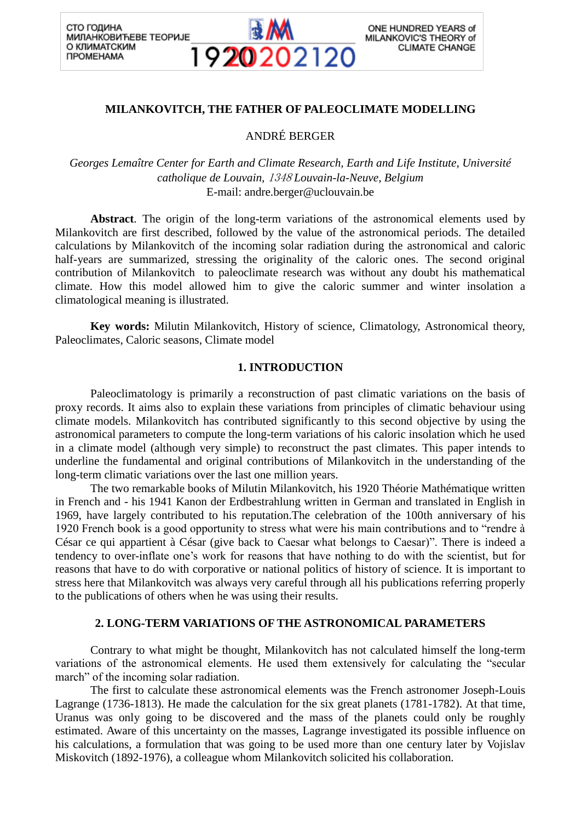СТО ГОДИНА **МИЛАНКОВИЋЕВЕ ТЕОРИЈЕ** О КЛИМАТСКИМ *<u>ΠΡΟΜΕΗΑΜΑ</u>* 



## **MILANKOVITCH, THE FATHER OF PALEOCLIMATE MODELLING**

ANDRÉ BERGER

*Georges Lemaître Center for Earth and Climate Research, Earth and Life Institute, Université catholique de Louvain,* <sup>1348</sup> *Louvain-la-Neuve, Belgium* E-mail: andre.berger@uclouvain.be

**Abstract**. The origin of the long-term variations of the astronomical elements used by Milankovitch are first described, followed by the value of the astronomical periods. The detailed calculations by Milankovitch of the incoming solar radiation during the astronomical and caloric half-years are summarized, stressing the originality of the caloric ones. The second original contribution of Milankovitch to paleoclimate research was without any doubt his mathematical climate. How this model allowed him to give the caloric summer and winter insolation a climatological meaning is illustrated.

**Key words:** Milutin Milankovitch, History of science, Climatology, Astronomical theory, Paleoclimates, Caloric seasons, Climate model

#### **1. INTRODUCTION**

Paleoclimatology is primarily a reconstruction of past climatic variations on the basis of proxy records. It aims also to explain these variations from principles of climatic behaviour using climate models. Milankovitch has contributed significantly to this second objective by using the astronomical parameters to compute the long-term variations of his caloric insolation which he used in a climate model (although very simple) to reconstruct the past climates. This paper intends to underline the fundamental and original contributions of Milankovitch in the understanding of the long-term climatic variations over the last one million years.

The two remarkable books of Milutin Milankovitch, his 1920 Théorie Mathématique written in French and - his 1941 Kanon der Erdbestrahlung written in German and translated in English in 1969, have largely contributed to his reputation.The celebration of the 100th anniversary of his 1920 French book is a good opportunity to stress what were his main contributions and to "rendre à César ce qui appartient à César (give back to Caesar what belongs to Caesar)". There is indeed a tendency to over-inflate one's work for reasons that have nothing to do with the scientist, but for reasons that have to do with corporative or national politics of history of science. It is important to stress here that Milankovitch was always very careful through all his publications referring properly to the publications of others when he was using their results.

#### **2. LONG-TERM VARIATIONS OF THE ASTRONOMICAL PARAMETERS**

Contrary to what might be thought, Milankovitch has not calculated himself the long-term variations of the astronomical elements. He used them extensively for calculating the "secular march" of the incoming solar radiation.

The first to calculate these astronomical elements was the French astronomer Joseph-Louis Lagrange (1736-1813). He made the calculation for the six great planets (1781-1782). At that time, Uranus was only going to be discovered and the mass of the planets could only be roughly estimated. Aware of this uncertainty on the masses, Lagrange investigated its possible influence on his calculations, a formulation that was going to be used more than one century later by Vojislav Miskovitch (1892-1976), a colleague whom Milankovitch solicited his collaboration.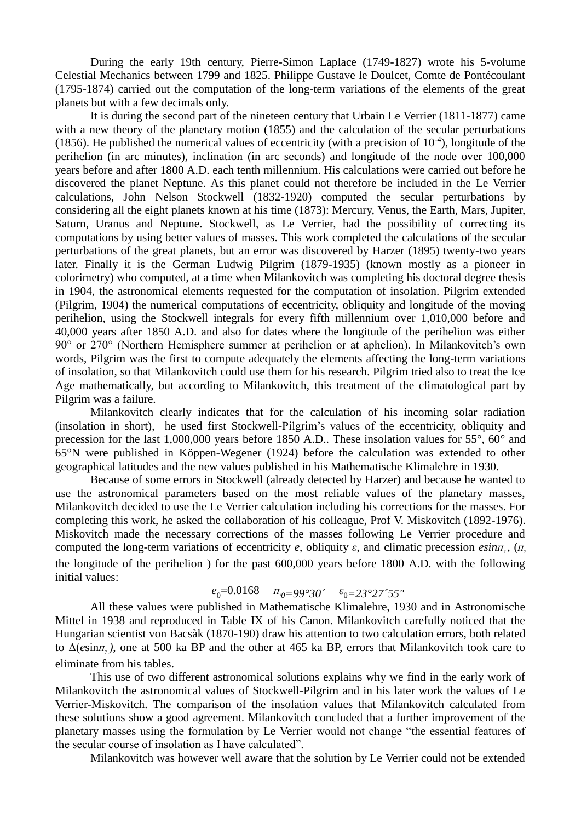During the early 19th century, Pierre-Simon Laplace (1749-1827) wrote his 5-volume Celestial Mechanics between 1799 and 1825. Philippe Gustave le Doulcet, Comte de Pontécoulant (1795-1874) carried out the computation of the long-term variations of the elements of the great planets but with a few decimals only.

It is during the second part of the nineteen century that Urbain Le Verrier (1811-1877) came with a new theory of the planetary motion (1855) and the calculation of the secular perturbations (1856). He published the numerical values of eccentricity (with a precision of  $10^{-4}$ ), longitude of the perihelion (in arc minutes), inclination (in arc seconds) and longitude of the node over 100,000 years before and after 1800 A.D. each tenth millennium. His calculations were carried out before he discovered the planet Neptune. As this planet could not therefore be included in the Le Verrier calculations, John Nelson Stockwell (1832-1920) computed the secular perturbations by considering all the eight planets known at his time (1873): Mercury, Venus, the Earth, Mars, Jupiter, Saturn, Uranus and Neptune. Stockwell, as Le Verrier, had the possibility of correcting its computations by using better values of masses. This work completed the calculations of the secular perturbations of the great planets, but an error was discovered by Harzer (1895) twenty-two years later. Finally it is the German Ludwig Pilgrim (1879-1935) (known mostly as a pioneer in colorimetry) who computed, at a time when Milankovitch was completing his doctoral degree thesis in 1904, the astronomical elements requested for the computation of insolation. Pilgrim extended (Pilgrim, 1904) the numerical computations of eccentricity, obliquity and longitude of the moving perihelion, using the Stockwell integrals for every fifth millennium over 1,010,000 before and 40,000 years after 1850 A.D. and also for dates where the longitude of the perihelion was either 90° or 270° (Northern Hemisphere summer at perihelion or at aphelion). In Milankovitch's own words, Pilgrim was the first to compute adequately the elements affecting the long-term variations of insolation, so that Milankovitch could use them for his research. Pilgrim tried also to treat the Ice Age mathematically, but according to Milankovitch, this treatment of the climatological part by Pilgrim was a failure.

Milankovitch clearly indicates that for the calculation of his incoming solar radiation (insolation in short), he used first Stockwell-Pilgrim's values of the eccentricity, obliquity and precession for the last 1,000,000 years before 1850 A.D.. These insolation values for 55°, 60° and 65°N were published in Köppen-Wegener (1924) before the calculation was extended to other geographical latitudes and the new values published in his Mathematische Klimalehre in 1930.

Because of some errors in Stockwell (already detected by Harzer) and because he wanted to use the astronomical parameters based on the most reliable values of the planetary masses, Milankovitch decided to use the Le Verrier calculation including his corrections for the masses. For completing this work, he asked the collaboration of his colleague, Prof V. Miskovitch (1892-1976). Miskovitch made the necessary corrections of the masses following Le Verrier procedure and computed the long-term variations of eccentricity *e*, obliquity *ε*, and climatic precession *esinn*,, ( $\pi$ <sup>*n*</sup></sup> the longitude of the perihelion ) for the past 600,000 years before 1800 A.D. with the following initial values:

# $e_0 = 0.0168$  *π*<sub>*η* $= 99^\circ 30'$  *ε*<sub>0</sub> $= 23^\circ 27' 55''$ </sub>

All these values were published in Mathematische Klimalehre, 1930 and in Astronomische Mittel in 1938 and reproduced in Table IX of his Canon. Milankovitch carefully noticed that the Hungarian scientist von Bacsàk (1870-190) draw his attention to two calculation errors, both related to  $\Delta(e\sin\pi)$ , one at 500 ka BP and the other at 465 ka BP, errors that Milankovitch took care to eliminate from his tables.

This use of two different astronomical solutions explains why we find in the early work of Milankovitch the astronomical values of Stockwell-Pilgrim and in his later work the values of Le Verrier-Miskovitch. The comparison of the insolation values that Milankovitch calculated from these solutions show a good agreement. Milankovitch concluded that a further improvement of the planetary masses using the formulation by Le Verrier would not change "the essential features of the secular course of insolation as I have calculated".

Milankovitch was however well aware that the solution by Le Verrier could not be extended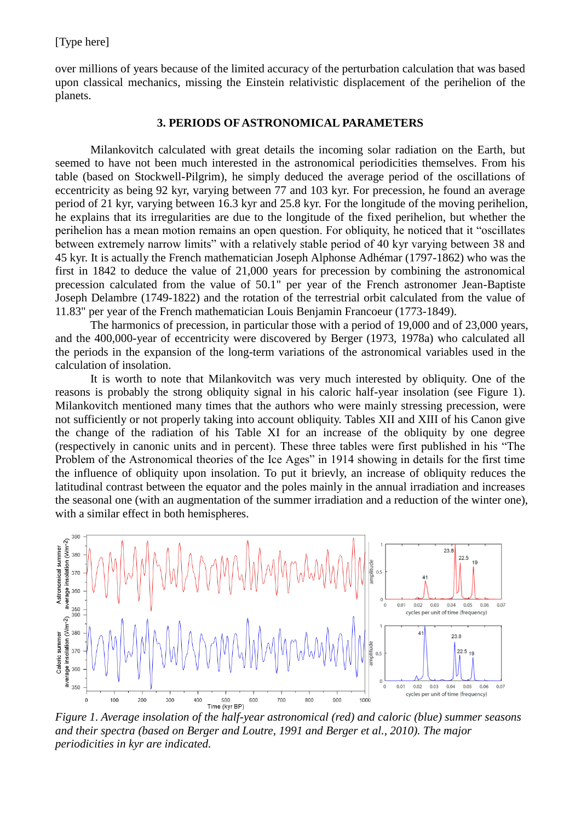over millions of years because of the limited accuracy of the perturbation calculation that was based upon classical mechanics, missing the Einstein relativistic displacement of the perihelion of the planets.

### **3. PERIODS OF ASTRONOMICAL PARAMETERS**

Milankovitch calculated with great details the incoming solar radiation on the Earth, but seemed to have not been much interested in the astronomical periodicities themselves. From his table (based on Stockwell-Pilgrim), he simply deduced the average period of the oscillations of eccentricity as being 92 kyr, varying between 77 and 103 kyr. For precession, he found an average period of 21 kyr, varying between 16.3 kyr and 25.8 kyr. For the longitude of the moving perihelion, he explains that its irregularities are due to the longitude of the fixed perihelion, but whether the perihelion has a mean motion remains an open question. For obliquity, he noticed that it "oscillates between extremely narrow limits" with a relatively stable period of 40 kyr varying between 38 and 45 kyr. It is actually the French mathematician Joseph Alphonse Adhémar (1797-1862) who was the first in 1842 to deduce the value of 21,000 years for precession by combining the astronomical precession calculated from the value of 50.1" per year of the French astronomer Jean-Baptiste Joseph Delambre (1749-1822) and the rotation of the terrestrial orbit calculated from the value of 11.83" per year of the French mathematician Louis Benjamin Francoeur (1773-1849).

The harmonics of precession, in particular those with a period of 19,000 and of 23,000 years, and the 400,000-year of eccentricity were discovered by Berger (1973, 1978a) who calculated all the periods in the expansion of the long-term variations of the astronomical variables used in the calculation of insolation.

It is worth to note that Milankovitch was very much interested by obliquity. One of the reasons is probably the strong obliquity signal in his caloric half-year insolation (see Figure 1). Milankovitch mentioned many times that the authors who were mainly stressing precession, were not sufficiently or not properly taking into account obliquity. Tables XII and XIII of his Canon give the change of the radiation of his Table XI for an increase of the obliquity by one degree (respectively in canonic units and in percent). These three tables were first published in his "The Problem of the Astronomical theories of the Ice Ages" in 1914 showing in details for the first time the influence of obliquity upon insolation. To put it brievly, an increase of obliquity reduces the latitudinal contrast between the equator and the poles mainly in the annual irradiation and increases the seasonal one (with an augmentation of the summer irradiation and a reduction of the winter one), with a similar effect in both hemispheres.



*Figure 1. Average insolation of the half-year astronomical (red) and caloric (blue) summer seasons and their spectra (based on Berger and Loutre, 1991 and Berger et al., 2010). The major periodicities in kyr are indicated.*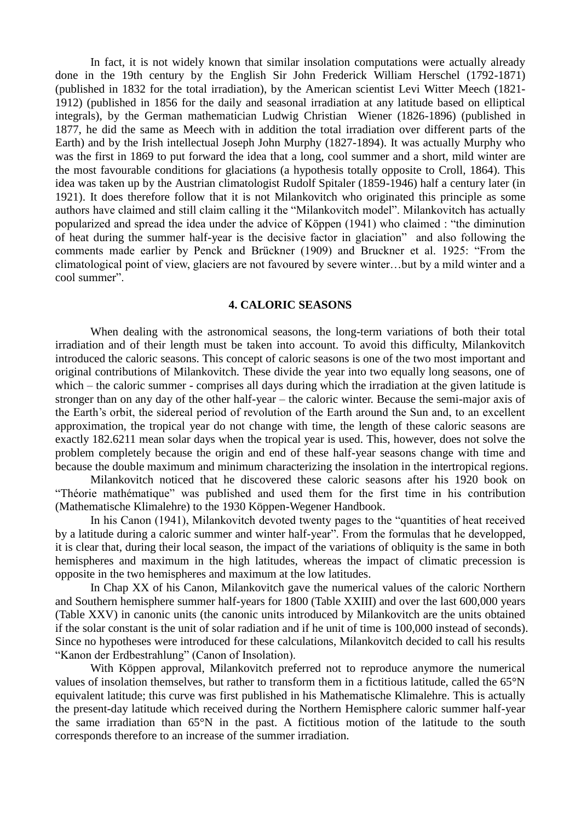In fact, it is not widely known that similar insolation computations were actually already done in the 19th century by the English Sir John Frederick William Herschel (1792-1871) (published in 1832 for the total irradiation), by the American scientist Levi Witter Meech (1821- 1912) (published in 1856 for the daily and seasonal irradiation at any latitude based on elliptical integrals), by the German mathematician Ludwig Christian Wiener (1826-1896) (published in 1877, he did the same as Meech with in addition the total irradiation over different parts of the Earth) and by the Irish intellectual Joseph John Murphy (1827-1894). It was actually Murphy who was the first in 1869 to put forward the idea that a long, cool summer and a short, mild winter are the most favourable conditions for glaciations (a hypothesis totally opposite to Croll, 1864). This idea was taken up by the Austrian climatologist Rudolf Spitaler (1859-1946) half a century later (in 1921). It does therefore follow that it is not Milankovitch who originated this principle as some authors have claimed and still claim calling it the "Milankovitch model". Milankovitch has actually popularized and spread the idea under the advice of Köppen (1941) who claimed : "the diminution of heat during the summer half-year is the decisive factor in glaciation" and also following the comments made earlier by Penck and Brückner (1909) and Bruckner et al. 1925: "From the climatological point of view, glaciers are not favoured by severe winter…but by a mild winter and a cool summer".

## **4. CALORIC SEASONS**

When dealing with the astronomical seasons, the long-term variations of both their total irradiation and of their length must be taken into account. To avoid this difficulty, Milankovitch introduced the caloric seasons. This concept of caloric seasons is one of the two most important and original contributions of Milankovitch. These divide the year into two equally long seasons, one of which – the caloric summer - comprises all days during which the irradiation at the given latitude is stronger than on any day of the other half-year – the caloric winter. Because the semi-major axis of the Earth's orbit, the sidereal period of revolution of the Earth around the Sun and, to an excellent approximation, the tropical year do not change with time, the length of these caloric seasons are exactly 182.6211 mean solar days when the tropical year is used. This, however, does not solve the problem completely because the origin and end of these half-year seasons change with time and because the double maximum and minimum characterizing the insolation in the intertropical regions.

Milankovitch noticed that he discovered these caloric seasons after his 1920 book on "Théorie mathématique" was published and used them for the first time in his contribution (Mathematische Klimalehre) to the 1930 Köppen-Wegener Handbook.

In his Canon (1941), Milankovitch devoted twenty pages to the "quantities of heat received by a latitude during a caloric summer and winter half-year". From the formulas that he developped, it is clear that, during their local season, the impact of the variations of obliquity is the same in both hemispheres and maximum in the high latitudes, whereas the impact of climatic precession is opposite in the two hemispheres and maximum at the low latitudes.

In Chap XX of his Canon, Milankovitch gave the numerical values of the caloric Northern and Southern hemisphere summer half-years for 1800 (Table XXIII) and over the last 600,000 years (Table XXV) in canonic units (the canonic units introduced by Milankovitch are the units obtained if the solar constant is the unit of solar radiation and if he unit of time is 100,000 instead of seconds). Since no hypotheses were introduced for these calculations, Milankovitch decided to call his results "Kanon der Erdbestrahlung" (Canon of Insolation).

With Köppen approval, Milankovitch preferred not to reproduce anymore the numerical values of insolation themselves, but rather to transform them in a fictitious latitude, called the 65°N equivalent latitude; this curve was first published in his Mathematische Klimalehre. This is actually the present-day latitude which received during the Northern Hemisphere caloric summer half-year the same irradiation than 65°N in the past. A fictitious motion of the latitude to the south corresponds therefore to an increase of the summer irradiation.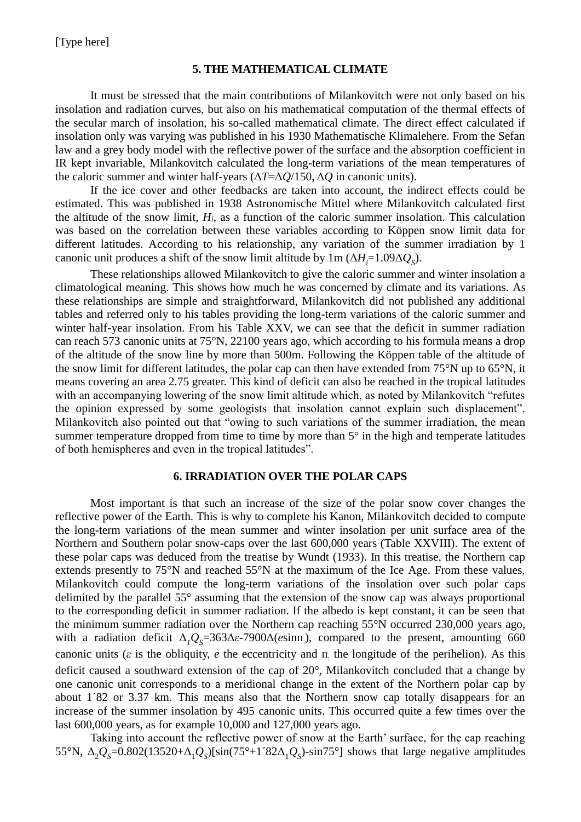# **5. THE MATHEMATICAL CLIMATE**

It must be stressed that the main contributions of Milankovitch were not only based on his insolation and radiation curves, but also on his mathematical computation of the thermal effects of the secular march of insolation, his so-called mathematical climate. The direct effect calculated if insolation only was varying was published in his 1930 Mathematische Klimalehere. From the Sefan law and a grey body model with the reflective power of the surface and the absorption coefficient in IR kept invariable, Milankovitch calculated the long-term variations of the mean temperatures of the caloric summer and winter half-years (Δ*T*=Δ*Q*/150, Δ*Q* in canonic units).

If the ice cover and other feedbacks are taken into account, the indirect effects could be estimated. This was published in 1938 Astronomische Mittel where Milankovitch calculated first the altitude of the snow limit,  $H_i$ , as a function of the caloric summer insolation. This calculation was based on the correlation between these variables according to Köppen snow limit data for different latitudes. According to his relationship, any variation of the summer irradiation by 1 canonic unit produces a shift of the snow limit altitude by  $1 \text{ m } (\Delta H_i = 1.09 \Delta Q_s)$ .

These relationships allowed Milankovitch to give the caloric summer and winter insolation a climatological meaning. This shows how much he was concerned by climate and its variations. As these relationships are simple and straightforward, Milankovitch did not published any additional tables and referred only to his tables providing the long-term variations of the caloric summer and winter half-year insolation. From his Table XXV, we can see that the deficit in summer radiation can reach 573 canonic units at 75°N, 22100 years ago, which according to his formula means a drop of the altitude of the snow line by more than 500m. Following the Köppen table of the altitude of the snow limit for different latitudes, the polar cap can then have extended from 75°N up to 65°N, it means covering an area 2.75 greater. This kind of deficit can also be reached in the tropical latitudes with an accompanying lowering of the snow limit altitude which, as noted by Milankovitch "refutes the opinion expressed by some geologists that insolation cannot explain such displacement". Milankovitch also pointed out that "owing to such variations of the summer irradiation, the mean summer temperature dropped from time to time by more than  $5^{\circ}$  in the high and temperate latitudes of both hemispheres and even in the tropical latitudes".

# **6. IRRADIATION OVER THE POLAR CAPS**

Most important is that such an increase of the size of the polar snow cover changes the reflective power of the Earth. This is why to complete his Kanon, Milankovitch decided to compute the long-term variations of the mean summer and winter insolation per unit surface area of the Northern and Southern polar snow-caps over the last 600,000 years (Table XXVIII). The extent of these polar caps was deduced from the treatise by Wundt (1933). In this treatise, the Northern cap extends presently to 75°N and reached 55°N at the maximum of the Ice Age. From these values, Milankovitch could compute the long-term variations of the insolation over such polar caps delimited by the parallel 55° assuming that the extension of the snow cap was always proportional to the corresponding deficit in summer radiation. If the albedo is kept constant, it can be seen that the minimum summer radiation over the Northern cap reaching 55°N occurred 230,000 years ago, with a radiation deficit  $\Delta_l Q_s = 363\Delta \varepsilon - 7900\Delta(\varepsilon)$  sinπ<sub>*i*</sub>), compared to the present, amounting 660 canonic units ( $\varepsilon$  is the obliquity,  $e$  the eccentricity and  $\pi$ <sub>*i*</sub> the longitude of the perihelion). As this deficit caused a southward extension of the cap of 20°, Milankovitch concluded that a change by one canonic unit corresponds to a meridional change in the extent of the Northern polar cap by about 1´82 or 3.37 km. This means also that the Northern snow cap totally disappears for an increase of the summer insolation by 495 canonic units. This occurred quite a few times over the last 600,000 years, as for example 10,000 and 127,000 years ago.

Taking into account the reflective power of snow at the Earth' surface, for the cap reaching 55°N,  $\Delta_2 Q_s = 0.802(13520 + \Delta_1 Q_s)[\sin(75^\circ + 1'82\Delta_1 Q_s) - \sin 75^\circ]$  shows that large negative amplitudes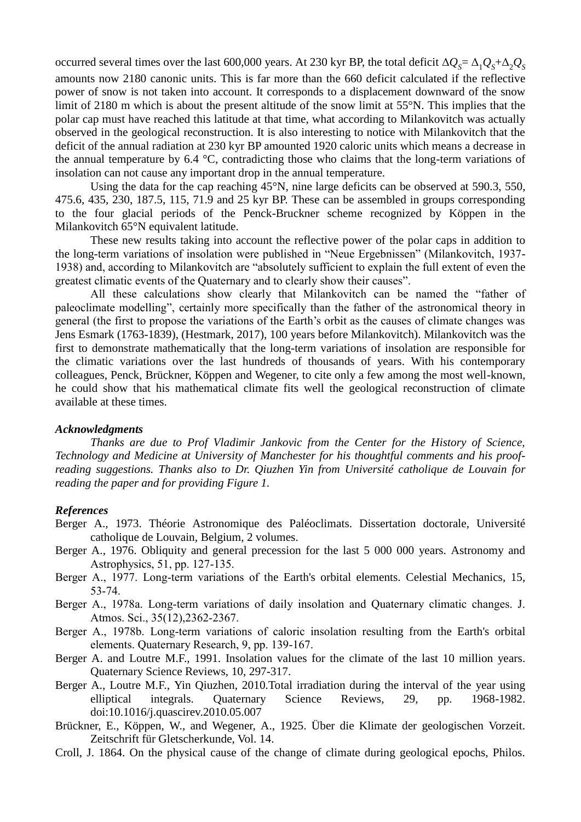occurred several times over the last 600,000 years. At 230 kyr BP, the total deficit  $\Delta Q_s = \Delta_1 Q_s + \Delta_2 Q_s$ amounts now 2180 canonic units. This is far more than the 660 deficit calculated if the reflective power of snow is not taken into account. It corresponds to a displacement downward of the snow limit of 2180 m which is about the present altitude of the snow limit at 55°N. This implies that the polar cap must have reached this latitude at that time, what according to Milankovitch was actually observed in the geological reconstruction. It is also interesting to notice with Milankovitch that the deficit of the annual radiation at 230 kyr BP amounted 1920 caloric units which means a decrease in the annual temperature by 6.4 °C, contradicting those who claims that the long-term variations of insolation can not cause any important drop in the annual temperature.

Using the data for the cap reaching 45°N, nine large deficits can be observed at 590.3, 550, 475.6, 435, 230, 187.5, 115, 71.9 and 25 kyr BP. These can be assembled in groups corresponding to the four glacial periods of the Penck-Bruckner scheme recognized by Köppen in the Milankovitch 65°N equivalent latitude.

These new results taking into account the reflective power of the polar caps in addition to the long-term variations of insolation were published in "Neue Ergebnissen" (Milankovitch, 1937- 1938) and, according to Milankovitch are "absolutely sufficient to explain the full extent of even the greatest climatic events of the Quaternary and to clearly show their causes".

All these calculations show clearly that Milankovitch can be named the "father of paleoclimate modelling", certainly more specifically than the father of the astronomical theory in general (the first to propose the variations of the Earth's orbit as the causes of climate changes was Jens Esmark (1763-1839), (Hestmark, 2017), 100 years before Milankovitch). Milankovitch was the first to demonstrate mathematically that the long-term variations of insolation are responsible for the climatic variations over the last hundreds of thousands of years. With his contemporary colleagues, Penck, Brückner, Köppen and Wegener, to cite only a few among the most well-known, he could show that his mathematical climate fits well the geological reconstruction of climate available at these times.

#### *Acknowledgments*

*Thanks are due to Prof Vladimir Jankovic from the Center for the History of Science, Technology and Medicine at University of Manchester for his thoughtful comments and his proofreading suggestions. Thanks also to Dr. Qiuzhen Yin from Université catholique de Louvain for reading the paper and for providing Figure 1.*

### *References*

- Berger A., 1973. Théorie Astronomique des Paléoclimats. Dissertation doctorale, Université catholique de Louvain, Belgium, 2 volumes.
- Berger A., 1976. Obliquity and general precession for the last 5 000 000 years. Astronomy and Astrophysics, 51, pp. 127‐135.
- Berger A., 1977. Long-term variations of the Earth's orbital elements. Celestial Mechanics, 15, 53‐74.
- Berger A., 1978a. Long-term variations of daily insolation and Quaternary climatic changes. J. Atmos. Sci., 35(12),2362‐2367.
- Berger A., 1978b. Long-term variations of caloric insolation resulting from the Earth's orbital elements. Quaternary Research, 9, pp. 139‐167.
- Berger A. and Loutre M.F., 1991. Insolation values for the climate of the last 10 million years. Quaternary Science Reviews, 10, 297-317.
- Berger A., Loutre M.F., Yin Qiuzhen, 2010.Total irradiation during the interval of the year using elliptical integrals. Quaternary Science Reviews, 29, pp. 1968-1982. doi:10.1016/j.quascirev.2010.05.007
- Brückner, E., Köppen, W., and Wegener, A., 1925. Über die Klimate der geologischen Vorzeit. Zeitschrift für Gletscherkunde, Vol. 14.
- Croll, J. 1864. On the physical cause of the change of climate during geological epochs, Philos.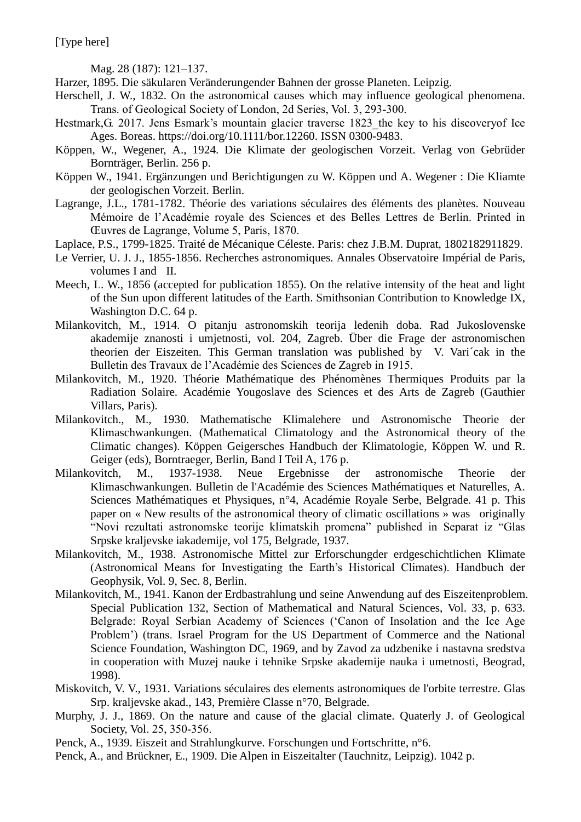[Type here]

Mag. 28 (187): 121–137.

Harzer, 1895. Die säkularen Veränderungender Bahnen der grosse Planeten. Leipzig.

- Herschell, J. W., 1832. On the astronomical causes which may influence geological phenomena. Trans. of Geological Society of London, 2d Series, Vol. 3, 293‐300.
- Hestmark, G. 2017. Jens Esmark's mountain glacier traverse 1823 the key to his discovery of Ice Ages. Boreas. https://doi.org/10.1111/bor.12260. ISSN 0300-9483.
- Köppen, W., Wegener, A., 1924. Die Klimate der geologischen Vorzeit. Verlag von Gebrüder Bornträger, Berlin. 256 p.
- Köppen W., 1941. Ergänzungen und Berichtigungen zu W. Köppen und A. Wegener : Die Kliamte der geologischen Vorzeit. Berlin.
- Lagrange, J.L., 1781-1782. Théorie des variations séculaires des éléments des planètes. Nouveau Mémoire de l'Académie royale des Sciences et des Belles Lettres de Berlin. Printed in Œuvres de Lagrange, Volume 5, Paris, 1870.
- Laplace, P.S., 1799-1825. Traité de Mécanique Céleste. Paris: chez J.B.M. Duprat, 1802182911829.
- Le Verrier, U. J. J., 1855-1856. Recherches astronomiques. Annales Observatoire Impérial de Paris, volumes I and II.
- Meech, L. W., 1856 (accepted for publication 1855). On the relative intensity of the heat and light of the Sun upon different latitudes of the Earth. Smithsonian Contribution to Knowledge IX, Washington D.C. 64 p.
- Milankovitch, M., 1914. O pitanju astronomskih teorija ledenih doba. Rad Jukoslovenske akademije znanosti i umjetnosti, vol. 204, Zagreb. Über die Frage der astronomischen theorien der Eiszeiten. This German translation was published by V. Vari´cak in the Bulletin des Travaux de l'Académie des Sciences de Zagreb in 1915.
- Milankovitch, M., 1920. Théorie Mathématique des Phénomènes Thermiques Produits par la Radiation Solaire. Académie Yougoslave des Sciences et des Arts de Zagreb (Gauthier Villars, Paris).
- Milankovitch., M., 1930. Mathematische Klimalehere und Astronomische Theorie der Klimaschwankungen. (Mathematical Climatology and the Astronomical theory of the Climatic changes). Köppen Geigersches Handbuch der Klimatologie, Köppen W. und R. Geiger (eds), Borntraeger, Berlin, Band I Teil A, 176 p.
- Milankovitch, M., 1937-1938. Neue Ergebnisse der astronomische Theorie der Klimaschwankungen. Bulletin de l'Académie des Sciences Mathématiques et Naturelles, A. Sciences Mathématiques et Physiques, n°4, Académie Royale Serbe, Belgrade. 41 p. This paper on « New results of the astronomical theory of climatic oscillations » was originally "Novi rezultati astronomske teorije klimatskih promena" published in Separat iz "Glas Srpske kraljevske iakademije, vol 175, Belgrade, 1937.
- Milankovitch, M., 1938. Astronomische Mittel zur Erforschungder erdgeschichtlichen Klimate (Astronomical Means for Investigating the Earth's Historical Climates). Handbuch der Geophysik, Vol. 9, Sec. 8, Berlin.
- Milankovitch, M., 1941. Kanon der Erdbastrahlung und seine Anwendung auf des Eiszeitenproblem. Special Publication 132, Section of Mathematical and Natural Sciences, Vol. 33, p. 633. Belgrade: Royal Serbian Academy of Sciences ('Canon of Insolation and the Ice Age Problem') (trans. Israel Program for the US Department of Commerce and the National Science Foundation, Washington DC, 1969, and by Zavod za udzbenike i nastavna sredstva in cooperation with Muzej nauke i tehnike Srpske akademije nauka i umetnosti, Beograd, 1998).
- Miskovitch, V. V., 1931. Variations séculaires des elements astronomiques de l'orbite terrestre. Glas Srp. kraljevske akad., 143, Première Classe n°70, Belgrade.
- Murphy, J. J., 1869. On the nature and cause of the glacial climate. Quaterly J. of Geological Society, Vol. 25, 350‐356.
- Penck, A., 1939. Eiszeit and Strahlungkurve. Forschungen und Fortschritte, n°6.
- Penck, A., and Brückner, E., 1909. Die Alpen in Eiszeitalter (Tauchnitz, Leipzig). 1042 p.